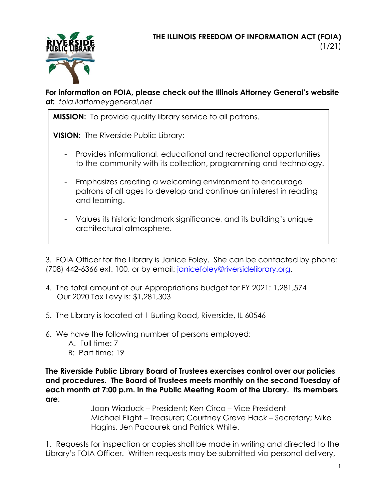

## **For information on FOIA, please check out the Illinois Attorney General's website at:** *foia.ilattorneygeneral.net*

**MISSION:** To provide quality library service to all patrons.

**VISION**: The Riverside Public Library:

- Provides informational, educational and recreational opportunities to the community with its collection, programming and technology.
- Emphasizes creating a welcoming environment to encourage patrons of all ages to develop and continue an interest in reading and learning.
- Values its historic landmark significance, and its building's unique architectural atmosphere.

3. FOIA Officer for the Library is Janice Foley. She can be contacted by phone: (708) 442-6366 ext. 100, or by email: [janicefoley@riversidelibrary.org.](mailto:janicefoley@riversidelibrary.org)

- 4. The total amount of our Appropriations budget for FY 2021: 1,281,574 Our 2020 Tax Levy is: \$1,281,303
- 5. The Library is located at 1 Burling Road, Riverside, IL 60546
- 6. We have the following number of persons employed:
	- A. Full time: 7
	- B: Part time: 19

**The Riverside Public Library Board of Trustees exercises control over our policies and procedures. The Board of Trustees meets monthly on the second Tuesday of each month at 7:00 p.m. in the Public Meeting Room of the Library. Its members are**:

Joan Wiaduck – President; Ken Circo – Vice President Michael Flight – Treasurer; Courtney Greve Hack – Secretary; Mike Hagins, Jen Pacourek and Patrick White.

1. Requests for inspection or copies shall be made in writing and directed to the Library's FOIA Officer. Written requests may be submitted via personal delivery,